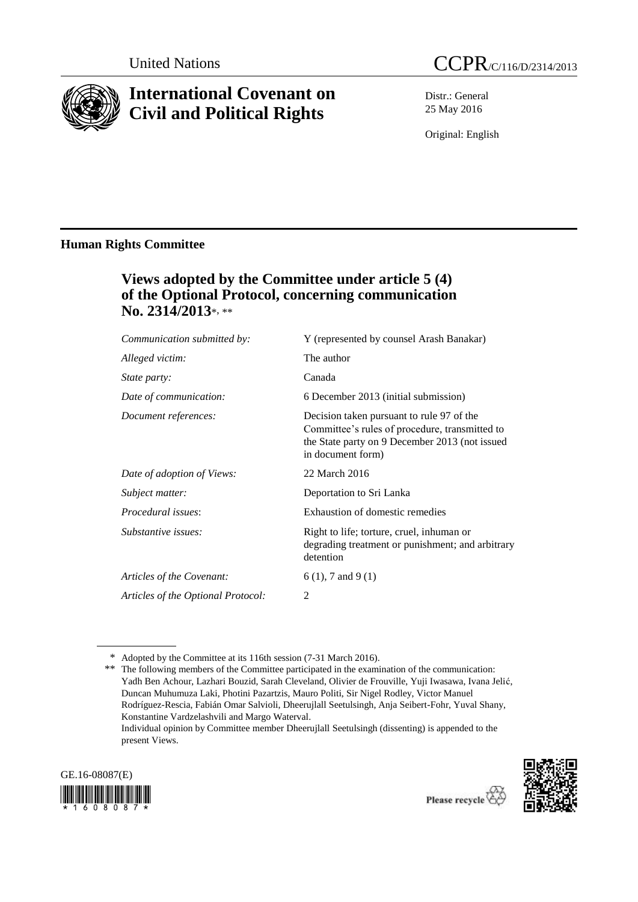

# **International Covenant on Civil and Political Rights**

Distr.: General 25 May 2016

Original: English

### **Human Rights Committee**

# **Views adopted by the Committee under article 5 (4) of the Optional Protocol, concerning communication No. 2314/2013**\*, \*\*

| Communication submitted by:        | Y (represented by counsel Arash Banakar)                                                                                                                           |
|------------------------------------|--------------------------------------------------------------------------------------------------------------------------------------------------------------------|
| Alleged victim:                    | The author                                                                                                                                                         |
| <i>State party:</i>                | Canada                                                                                                                                                             |
| Date of communication:             | 6 December 2013 (initial submission)                                                                                                                               |
| Document references:               | Decision taken pursuant to rule 97 of the<br>Committee's rules of procedure, transmitted to<br>the State party on 9 December 2013 (not issued<br>in document form) |
| Date of adoption of Views:         | 22 March 2016                                                                                                                                                      |
| Subject matter:                    | Deportation to Sri Lanka                                                                                                                                           |
| <i>Procedural issues:</i>          | Exhaustion of domestic remedies                                                                                                                                    |
| Substantive issues:                | Right to life; torture, cruel, inhuman or<br>degrading treatment or punishment; and arbitrary<br>detention                                                         |
| Articles of the Covenant:          | $6(1)$ , 7 and 9(1)                                                                                                                                                |
| Articles of the Optional Protocol: | 2                                                                                                                                                                  |

<sup>\*\*</sup> The following members of the Committee participated in the examination of the communication: Yadh Ben Achour, Lazhari Bouzid, Sarah Cleveland, Olivier de Frouville, Yuji Iwasawa, Ivana Jelić, Duncan Muhumuza Laki, Photini Pazartzis, Mauro Politi, Sir Nigel Rodley, Victor Manuel Rodríguez-Rescia, Fabián Omar Salvioli, Dheerujlall Seetulsingh, Anja Seibert-Fohr, Yuval Shany, Konstantine Vardzelashvili and Margo Waterval. Individual opinion by Committee member Dheerujlall Seetulsingh (dissenting) is appended to the present Views.





Please recycle  $\overleftrightarrow{C}$ 

<sup>\*</sup> Adopted by the Committee at its 116th session (7-31 March 2016).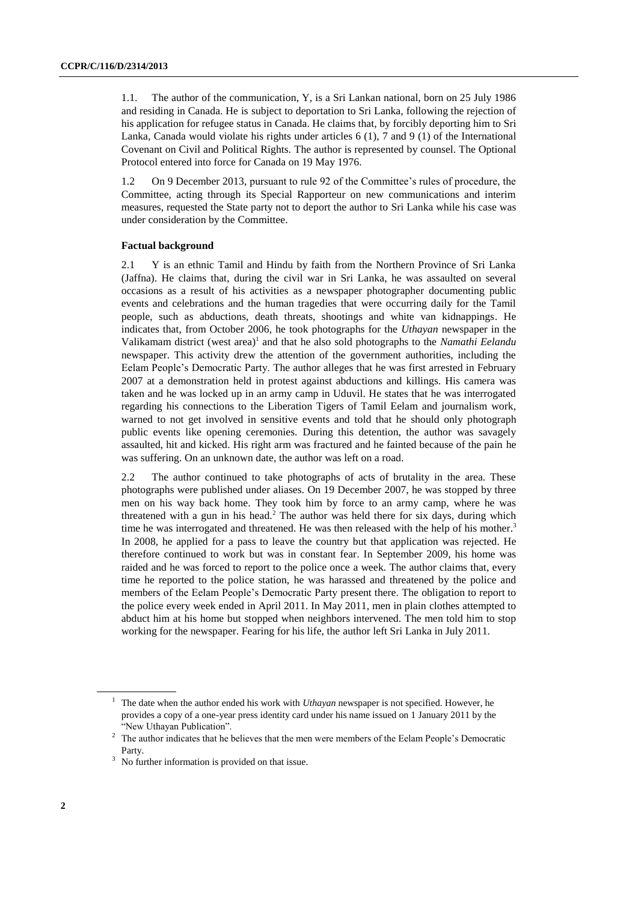1.1. The author of the communication, Y, is a Sri Lankan national, born on 25 July 1986 and residing in Canada. He is subject to deportation to Sri Lanka, following the rejection of his application for refugee status in Canada. He claims that, by forcibly deporting him to Sri Lanka, Canada would violate his rights under articles 6 (1), 7 and 9 (1) of the International Covenant on Civil and Political Rights. The author is represented by counsel. The Optional Protocol entered into force for Canada on 19 May 1976.

1.2 On 9 December 2013, pursuant to rule 92 of the Committee's rules of procedure, the Committee, acting through its Special Rapporteur on new communications and interim measures, requested the State party not to deport the author to Sri Lanka while his case was under consideration by the Committee.

#### **Factual background**

2.1 Y is an ethnic Tamil and Hindu by faith from the Northern Province of Sri Lanka (Jaffna). He claims that, during the civil war in Sri Lanka, he was assaulted on several occasions as a result of his activities as a newspaper photographer documenting public events and celebrations and the human tragedies that were occurring daily for the Tamil people, such as abductions, death threats, shootings and white van kidnappings. He indicates that, from October 2006, he took photographs for the *Uthayan* newspaper in the Valikamam district (west area)<sup>1</sup> and that he also sold photographs to the *Namathi Eelandu* newspaper. This activity drew the attention of the government authorities, including the Eelam People's Democratic Party. The author alleges that he was first arrested in February 2007 at a demonstration held in protest against abductions and killings. His camera was taken and he was locked up in an army camp in Uduvil. He states that he was interrogated regarding his connections to the Liberation Tigers of Tamil Eelam and journalism work, warned to not get involved in sensitive events and told that he should only photograph public events like opening ceremonies. During this detention, the author was savagely assaulted, hit and kicked. His right arm was fractured and he fainted because of the pain he was suffering. On an unknown date, the author was left on a road.

2.2 The author continued to take photographs of acts of brutality in the area. These photographs were published under aliases. On 19 December 2007, he was stopped by three men on his way back home. They took him by force to an army camp, where he was threatened with a gun in his head.<sup>2</sup> The author was held there for six days, during which time he was interrogated and threatened. He was then released with the help of his mother.<sup>3</sup> In 2008, he applied for a pass to leave the country but that application was rejected. He therefore continued to work but was in constant fear. In September 2009, his home was raided and he was forced to report to the police once a week. The author claims that, every time he reported to the police station, he was harassed and threatened by the police and members of the Eelam People's Democratic Party present there. The obligation to report to the police every week ended in April 2011. In May 2011, men in plain clothes attempted to abduct him at his home but stopped when neighbors intervened. The men told him to stop working for the newspaper. Fearing for his life, the author left Sri Lanka in July 2011.

<sup>1</sup> The date when the author ended his work with *Uthayan* newspaper is not specified. However, he provides a copy of a one-year press identity card under his name issued on 1 January 2011 by the "New Uthayan Publication".

<sup>&</sup>lt;sup>2</sup> The author indicates that he believes that the men were members of the Eelam People's Democratic Party.

<sup>&</sup>lt;sup>3</sup> No further information is provided on that issue.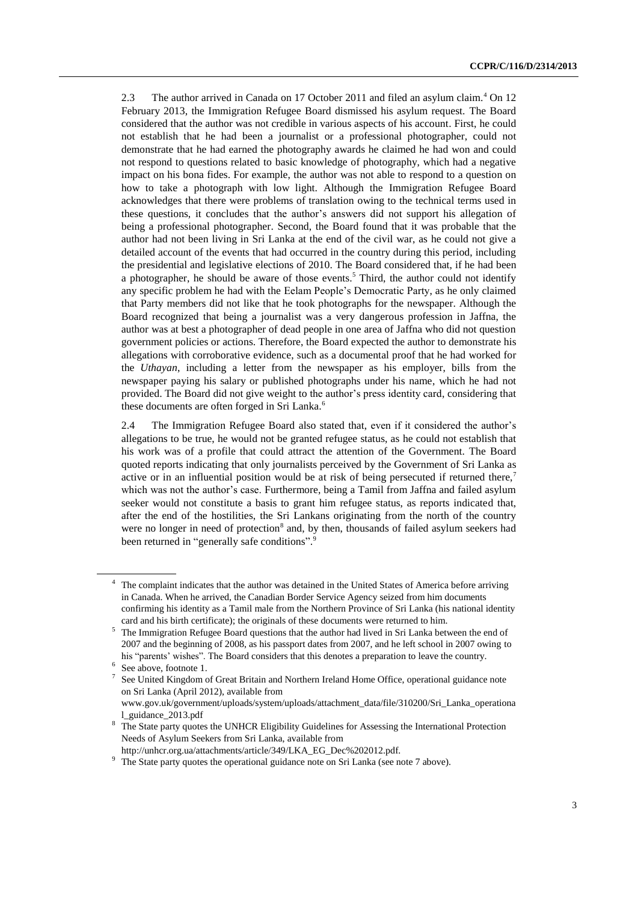2.3 The author arrived in Canada on 17 October 2011 and filed an asylum claim.<sup>4</sup> On 12 February 2013, the Immigration Refugee Board dismissed his asylum request. The Board considered that the author was not credible in various aspects of his account. First, he could not establish that he had been a journalist or a professional photographer, could not demonstrate that he had earned the photography awards he claimed he had won and could not respond to questions related to basic knowledge of photography, which had a negative impact on his bona fides. For example, the author was not able to respond to a question on how to take a photograph with low light. Although the Immigration Refugee Board acknowledges that there were problems of translation owing to the technical terms used in these questions, it concludes that the author's answers did not support his allegation of being a professional photographer. Second, the Board found that it was probable that the author had not been living in Sri Lanka at the end of the civil war, as he could not give a detailed account of the events that had occurred in the country during this period, including the presidential and legislative elections of 2010. The Board considered that, if he had been a photographer, he should be aware of those events. <sup>5</sup> Third, the author could not identify any specific problem he had with the Eelam People's Democratic Party, as he only claimed that Party members did not like that he took photographs for the newspaper. Although the Board recognized that being a journalist was a very dangerous profession in Jaffna, the author was at best a photographer of dead people in one area of Jaffna who did not question government policies or actions. Therefore, the Board expected the author to demonstrate his allegations with corroborative evidence, such as a documental proof that he had worked for the *Uthayan*, including a letter from the newspaper as his employer, bills from the newspaper paying his salary or published photographs under his name, which he had not provided. The Board did not give weight to the author's press identity card, considering that these documents are often forged in Sri Lanka.<sup>6</sup>

2.4 The Immigration Refugee Board also stated that, even if it considered the author's allegations to be true, he would not be granted refugee status, as he could not establish that his work was of a profile that could attract the attention of the Government. The Board quoted reports indicating that only journalists perceived by the Government of Sri Lanka as active or in an influential position would be at risk of being persecuted if returned there,<sup>7</sup> which was not the author's case. Furthermore, being a Tamil from Jaffna and failed asylum seeker would not constitute a basis to grant him refugee status, as reports indicated that, after the end of the hostilities, the Sri Lankans originating from the north of the country were no longer in need of protection<sup>8</sup> and, by then, thousands of failed asylum seekers had been returned in "generally safe conditions".<sup>9</sup>

<sup>&</sup>lt;sup>4</sup> The complaint indicates that the author was detained in the United States of America before arriving in Canada. When he arrived, the Canadian Border Service Agency seized from him documents confirming his identity as a Tamil male from the Northern Province of Sri Lanka (his national identity card and his birth certificate); the originals of these documents were returned to him.

<sup>5</sup> The Immigration Refugee Board questions that the author had lived in Sri Lanka between the end of 2007 and the beginning of 2008, as his passport dates from 2007, and he left school in 2007 owing to his "parents' wishes". The Board considers that this denotes a preparation to leave the country.

<sup>6</sup> See above, footnote 1.

<sup>7</sup> See United Kingdom of Great Britain and Northern Ireland Home Office, operational guidance note on Sri Lanka (April 2012), available from

www.gov.uk/government/uploads/system/uploads/attachment\_data/file/310200/Sri\_Lanka\_operationa l\_guidance\_2013.pdf

<sup>&</sup>lt;sup>8</sup> The State party quotes the UNHCR Eligibility Guidelines for Assessing the International Protection Needs of Asylum Seekers from Sri Lanka, available from

http://unhcr.org.ua/attachments/article/349/LKA\_EG\_Dec%202012.pdf.

<sup>&</sup>lt;sup>9</sup> The State party quotes the operational guidance note on Sri Lanka (see note 7 above).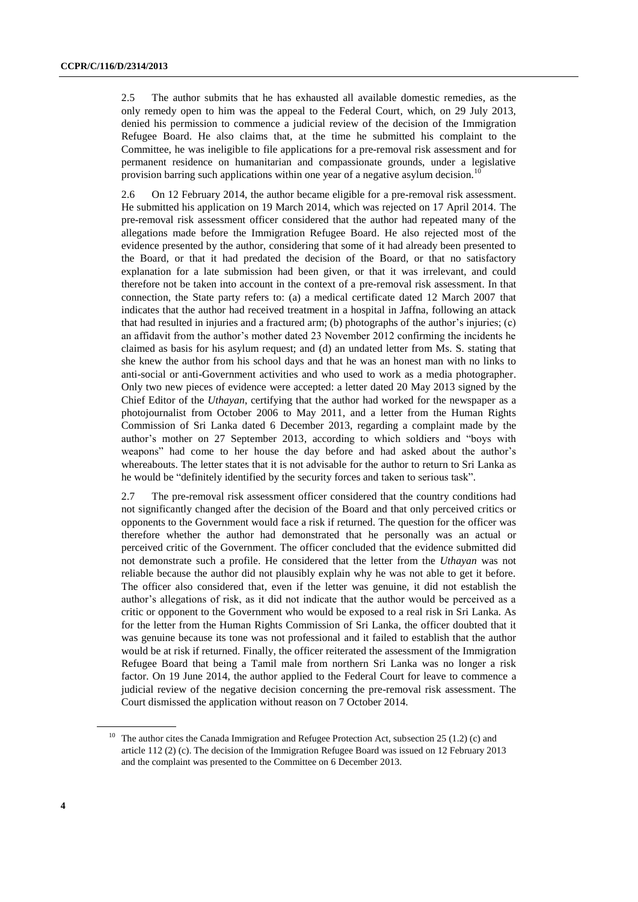2.5 The author submits that he has exhausted all available domestic remedies, as the only remedy open to him was the appeal to the Federal Court, which, on 29 July 2013, denied his permission to commence a judicial review of the decision of the Immigration Refugee Board. He also claims that, at the time he submitted his complaint to the Committee, he was ineligible to file applications for a pre-removal risk assessment and for permanent residence on humanitarian and compassionate grounds, under a legislative provision barring such applications within one year of a negative asylum decision.<sup>1</sup>

2.6 On 12 February 2014, the author became eligible for a pre-removal risk assessment. He submitted his application on 19 March 2014, which was rejected on 17 April 2014. The pre-removal risk assessment officer considered that the author had repeated many of the allegations made before the Immigration Refugee Board. He also rejected most of the evidence presented by the author, considering that some of it had already been presented to the Board, or that it had predated the decision of the Board, or that no satisfactory explanation for a late submission had been given, or that it was irrelevant, and could therefore not be taken into account in the context of a pre-removal risk assessment. In that connection, the State party refers to: (a) a medical certificate dated 12 March 2007 that indicates that the author had received treatment in a hospital in Jaffna, following an attack that had resulted in injuries and a fractured arm; (b) photographs of the author's injuries; (c) an affidavit from the author's mother dated 23 November 2012 confirming the incidents he claimed as basis for his asylum request; and (d) an undated letter from Ms. S. stating that she knew the author from his school days and that he was an honest man with no links to anti-social or anti-Government activities and who used to work as a media photographer. Only two new pieces of evidence were accepted: a letter dated 20 May 2013 signed by the Chief Editor of the *Uthayan*, certifying that the author had worked for the newspaper as a photojournalist from October 2006 to May 2011, and a letter from the Human Rights Commission of Sri Lanka dated 6 December 2013, regarding a complaint made by the author's mother on 27 September 2013, according to which soldiers and "boys with weapons" had come to her house the day before and had asked about the author's whereabouts. The letter states that it is not advisable for the author to return to Sri Lanka as he would be "definitely identified by the security forces and taken to serious task".

2.7 The pre-removal risk assessment officer considered that the country conditions had not significantly changed after the decision of the Board and that only perceived critics or opponents to the Government would face a risk if returned. The question for the officer was therefore whether the author had demonstrated that he personally was an actual or perceived critic of the Government. The officer concluded that the evidence submitted did not demonstrate such a profile. He considered that the letter from the *Uthayan* was not reliable because the author did not plausibly explain why he was not able to get it before. The officer also considered that, even if the letter was genuine, it did not establish the author's allegations of risk, as it did not indicate that the author would be perceived as a critic or opponent to the Government who would be exposed to a real risk in Sri Lanka. As for the letter from the Human Rights Commission of Sri Lanka, the officer doubted that it was genuine because its tone was not professional and it failed to establish that the author would be at risk if returned. Finally, the officer reiterated the assessment of the Immigration Refugee Board that being a Tamil male from northern Sri Lanka was no longer a risk factor. On 19 June 2014, the author applied to the Federal Court for leave to commence a judicial review of the negative decision concerning the pre-removal risk assessment. The Court dismissed the application without reason on 7 October 2014.

<sup>&</sup>lt;sup>10</sup> The author cites the Canada Immigration and Refugee Protection Act, subsection 25 (1.2) (c) and article 112 (2) (c). The decision of the Immigration Refugee Board was issued on 12 February 2013 and the complaint was presented to the Committee on 6 December 2013.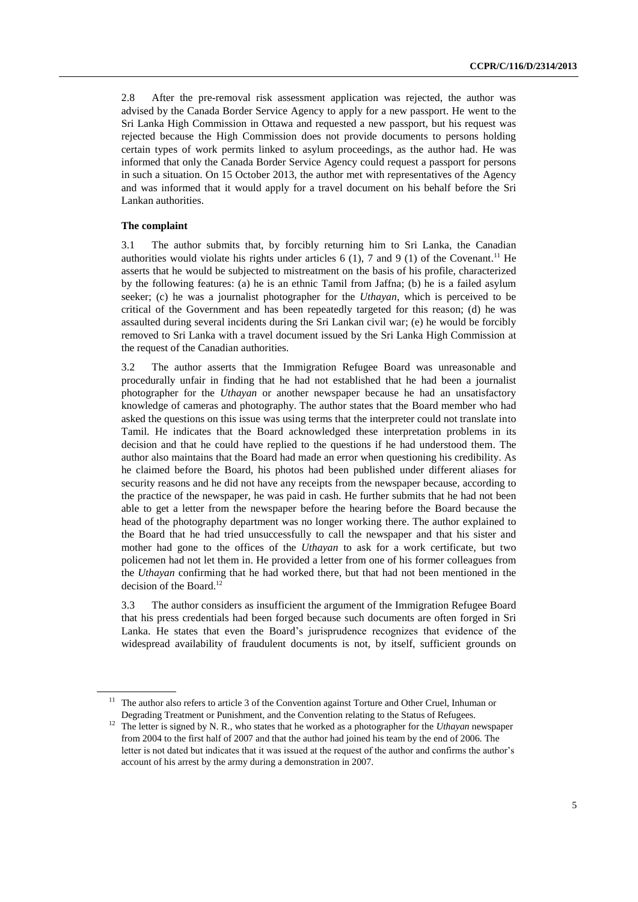2.8 After the pre-removal risk assessment application was rejected, the author was advised by the Canada Border Service Agency to apply for a new passport. He went to the Sri Lanka High Commission in Ottawa and requested a new passport, but his request was rejected because the High Commission does not provide documents to persons holding certain types of work permits linked to asylum proceedings, as the author had. He was informed that only the Canada Border Service Agency could request a passport for persons in such a situation. On 15 October 2013, the author met with representatives of the Agency and was informed that it would apply for a travel document on his behalf before the Sri Lankan authorities.

#### **The complaint**

3.1 The author submits that, by forcibly returning him to Sri Lanka, the Canadian authorities would violate his rights under articles  $6(1)$ , 7 and  $9(1)$  of the Covenant.<sup>11</sup> He asserts that he would be subjected to mistreatment on the basis of his profile, characterized by the following features: (a) he is an ethnic Tamil from Jaffna; (b) he is a failed asylum seeker; (c) he was a journalist photographer for the *Uthayan*, which is perceived to be critical of the Government and has been repeatedly targeted for this reason; (d) he was assaulted during several incidents during the Sri Lankan civil war; (e) he would be forcibly removed to Sri Lanka with a travel document issued by the Sri Lanka High Commission at the request of the Canadian authorities.

3.2 The author asserts that the Immigration Refugee Board was unreasonable and procedurally unfair in finding that he had not established that he had been a journalist photographer for the *Uthayan* or another newspaper because he had an unsatisfactory knowledge of cameras and photography. The author states that the Board member who had asked the questions on this issue was using terms that the interpreter could not translate into Tamil. He indicates that the Board acknowledged these interpretation problems in its decision and that he could have replied to the questions if he had understood them. The author also maintains that the Board had made an error when questioning his credibility. As he claimed before the Board, his photos had been published under different aliases for security reasons and he did not have any receipts from the newspaper because, according to the practice of the newspaper, he was paid in cash. He further submits that he had not been able to get a letter from the newspaper before the hearing before the Board because the head of the photography department was no longer working there. The author explained to the Board that he had tried unsuccessfully to call the newspaper and that his sister and mother had gone to the offices of the *Uthayan* to ask for a work certificate, but two policemen had not let them in. He provided a letter from one of his former colleagues from the *Uthayan* confirming that he had worked there, but that had not been mentioned in the decision of the Board. 12

3.3 The author considers as insufficient the argument of the Immigration Refugee Board that his press credentials had been forged because such documents are often forged in Sri Lanka. He states that even the Board's jurisprudence recognizes that evidence of the widespread availability of fraudulent documents is not, by itself, sufficient grounds on

 $11$  The author also refers to article 3 of the Convention against Torture and Other Cruel, Inhuman or Degrading Treatment or Punishment, and the Convention relating to the Status of Refugees.

<sup>&</sup>lt;sup>12</sup> The letter is signed by N. R., who states that he worked as a photographer for the *Uthayan* newspaper from 2004 to the first half of 2007 and that the author had joined his team by the end of 2006. The letter is not dated but indicates that it was issued at the request of the author and confirms the author's account of his arrest by the army during a demonstration in 2007.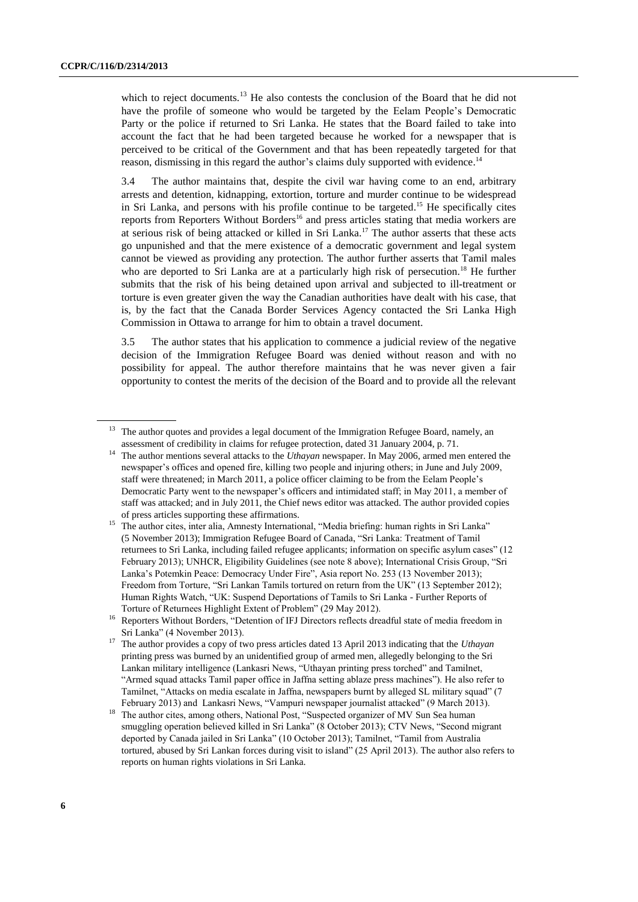which to reject documents. $^{13}$  He also contests the conclusion of the Board that he did not have the profile of someone who would be targeted by the Eelam People's Democratic Party or the police if returned to Sri Lanka. He states that the Board failed to take into account the fact that he had been targeted because he worked for a newspaper that is perceived to be critical of the Government and that has been repeatedly targeted for that reason, dismissing in this regard the author's claims duly supported with evidence.<sup>14</sup>

3.4 The author maintains that, despite the civil war having come to an end, arbitrary arrests and detention, kidnapping, extortion, torture and murder continue to be widespread in Sri Lanka, and persons with his profile continue to be targeted. <sup>15</sup> He specifically cites reports from Reporters Without Borders<sup>16</sup> and press articles stating that media workers are at serious risk of being attacked or killed in Sri Lanka. <sup>17</sup> The author asserts that these acts go unpunished and that the mere existence of a democratic government and legal system cannot be viewed as providing any protection. The author further asserts that Tamil males who are deported to Sri Lanka are at a particularly high risk of persecution.<sup>18</sup> He further submits that the risk of his being detained upon arrival and subjected to ill-treatment or torture is even greater given the way the Canadian authorities have dealt with his case, that is, by the fact that the Canada Border Services Agency contacted the Sri Lanka High Commission in Ottawa to arrange for him to obtain a travel document.

3.5 The author states that his application to commence a judicial review of the negative decision of the Immigration Refugee Board was denied without reason and with no possibility for appeal. The author therefore maintains that he was never given a fair opportunity to contest the merits of the decision of the Board and to provide all the relevant

<sup>&</sup>lt;sup>13</sup> The author quotes and provides a legal document of the Immigration Refugee Board, namely, an assessment of credibility in claims for refugee protection, dated 31 January 2004, p. 71.

<sup>14</sup> The author mentions several attacks to the *Uthayan* newspaper. In May 2006, armed men entered the newspaper's offices and opened fire, killing two people and injuring others; in June and July 2009, staff were threatened; in March 2011, a police officer claiming to be from the Eelam People's Democratic Party went to the newspaper's officers and intimidated staff; in May 2011, a member of staff was attacked; and in July 2011, the Chief news editor was attacked. The author provided copies of press articles supporting these affirmations.

<sup>&</sup>lt;sup>15</sup> The author cites, inter alia, Amnesty International, "Media briefing: human rights in Sri Lanka" (5 November 2013); Immigration Refugee Board of Canada, "Sri Lanka: Treatment of Tamil returnees to Sri Lanka, including failed refugee applicants; information on specific asylum cases" (12 February 2013); UNHCR, Eligibility Guidelines (see note 8 above); International Crisis Group, "Sri Lanka's Potemkin Peace: Democracy Under Fire", Asia report No. 253 (13 November 2013); Freedom from Torture, "Sri Lankan Tamils tortured on return from the UK" (13 September 2012); Human Rights Watch, "UK: Suspend Deportations of Tamils to Sri Lanka - Further Reports of Torture of Returnees Highlight Extent of Problem" (29 May 2012).

<sup>&</sup>lt;sup>16</sup> Reporters Without Borders, "Detention of IFJ Directors reflects dreadful state of media freedom in Sri Lanka" (4 November 2013).

<sup>17</sup> The author provides a copy of two press articles dated 13 April 2013 indicating that the *Uthayan* printing press was burned by an unidentified group of armed men, allegedly belonging to the Sri Lankan military intelligence (Lankasri News, "Uthayan printing press torched" and Tamilnet, "Armed squad attacks Tamil paper office in Jaffna setting ablaze press machines"). He also refer to Tamilnet, "Attacks on media escalate in Jaffna, newspapers burnt by alleged SL military squad" (7 February 2013) and Lankasri News, "Vampuri newspaper journalist attacked" (9 March 2013).

The author cites, among others, National Post, "Suspected organizer of MV Sun Sea human smuggling operation believed killed in Sri Lanka" (8 October 2013); CTV News, "Second migrant deported by Canada jailed in Sri Lanka" (10 October 2013); Tamilnet, "Tamil from Australia tortured, abused by Sri Lankan forces during visit to island" (25 April 2013). The author also refers to reports on human rights violations in Sri Lanka.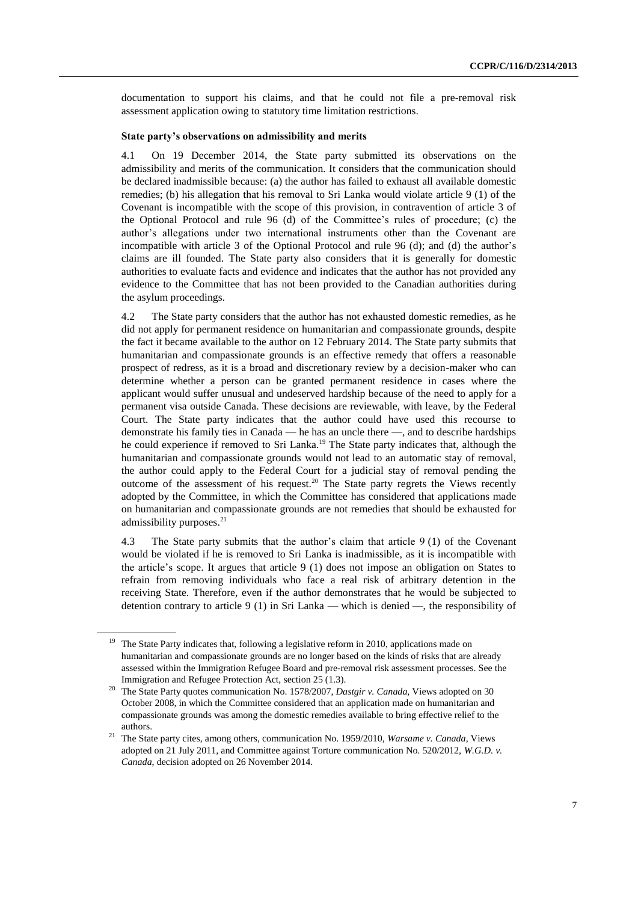documentation to support his claims, and that he could not file a pre-removal risk assessment application owing to statutory time limitation restrictions.

#### **State party's observations on admissibility and merits**

4.1 On 19 December 2014, the State party submitted its observations on the admissibility and merits of the communication. It considers that the communication should be declared inadmissible because: (a) the author has failed to exhaust all available domestic remedies; (b) his allegation that his removal to Sri Lanka would violate article 9 (1) of the Covenant is incompatible with the scope of this provision, in contravention of article 3 of the Optional Protocol and rule 96 (d) of the Committee's rules of procedure; (c) the author's allegations under two international instruments other than the Covenant are incompatible with article 3 of the Optional Protocol and rule 96 (d); and (d) the author's claims are ill founded. The State party also considers that it is generally for domestic authorities to evaluate facts and evidence and indicates that the author has not provided any evidence to the Committee that has not been provided to the Canadian authorities during the asylum proceedings.

4.2 The State party considers that the author has not exhausted domestic remedies, as he did not apply for permanent residence on humanitarian and compassionate grounds, despite the fact it became available to the author on 12 February 2014. The State party submits that humanitarian and compassionate grounds is an effective remedy that offers a reasonable prospect of redress, as it is a broad and discretionary review by a decision-maker who can determine whether a person can be granted permanent residence in cases where the applicant would suffer unusual and undeserved hardship because of the need to apply for a permanent visa outside Canada. These decisions are reviewable, with leave, by the Federal Court. The State party indicates that the author could have used this recourse to demonstrate his family ties in Canada — he has an uncle there —, and to describe hardships he could experience if removed to Sri Lanka. <sup>19</sup> The State party indicates that, although the humanitarian and compassionate grounds would not lead to an automatic stay of removal, the author could apply to the Federal Court for a judicial stay of removal pending the outcome of the assessment of his request.<sup>20</sup> The State party regrets the Views recently adopted by the Committee, in which the Committee has considered that applications made on humanitarian and compassionate grounds are not remedies that should be exhausted for admissibility purposes. 21

4.3 The State party submits that the author's claim that article 9 (1) of the Covenant would be violated if he is removed to Sri Lanka is inadmissible, as it is incompatible with the article's scope. It argues that article 9 (1) does not impose an obligation on States to refrain from removing individuals who face a real risk of arbitrary detention in the receiving State. Therefore, even if the author demonstrates that he would be subjected to detention contrary to article 9 (1) in Sri Lanka — which is denied —, the responsibility of

<sup>&</sup>lt;sup>19</sup> The State Party indicates that, following a legislative reform in 2010, applications made on humanitarian and compassionate grounds are no longer based on the kinds of risks that are already assessed within the Immigration Refugee Board and pre-removal risk assessment processes. See the Immigration and Refugee Protection Act, section 25 (1.3).

<sup>20</sup> The State Party quotes communication No. 1578/2007, *Dastgir v. Canada,* Views adopted on 30 October 2008, in which the Committee considered that an application made on humanitarian and compassionate grounds was among the domestic remedies available to bring effective relief to the authors.

<sup>21</sup> The State party cites, among others, communication No. 1959/2010, *Warsame v. Canada*, Views adopted on 21 July 2011, and Committee against Torture communication No. 520/2012, *W.G.D. v. Canada*, decision adopted on 26 November 2014.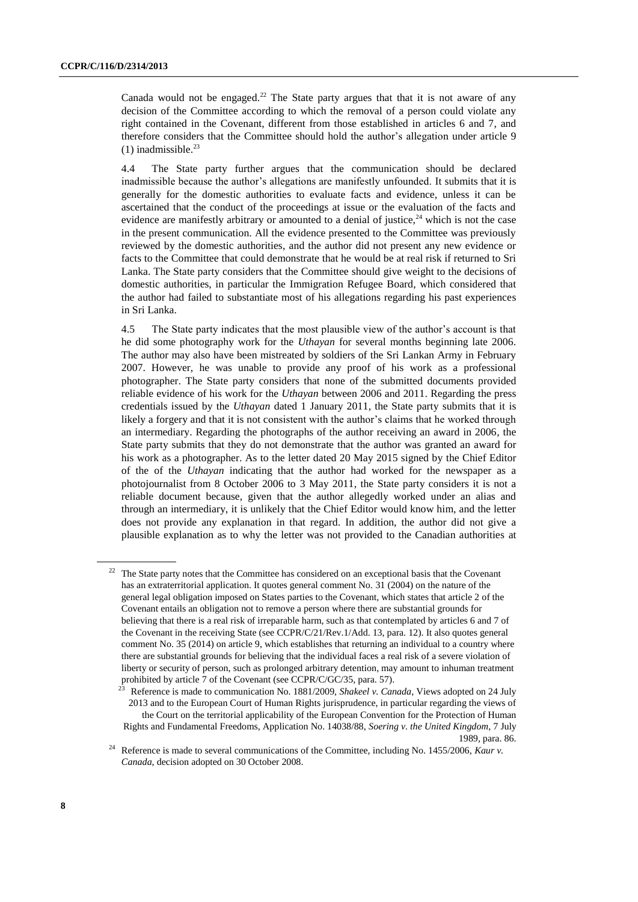Canada would not be engaged.<sup>22</sup> The State party argues that that it is not aware of any decision of the Committee according to which the removal of a person could violate any right contained in the Covenant, different from those established in articles 6 and 7, and therefore considers that the Committee should hold the author's allegation under article 9  $(1)$  inadmissible.<sup>23</sup>

4.4 The State party further argues that the communication should be declared inadmissible because the author's allegations are manifestly unfounded. It submits that it is generally for the domestic authorities to evaluate facts and evidence, unless it can be ascertained that the conduct of the proceedings at issue or the evaluation of the facts and evidence are manifestly arbitrary or amounted to a denial of justice,  $24$  which is not the case in the present communication. All the evidence presented to the Committee was previously reviewed by the domestic authorities, and the author did not present any new evidence or facts to the Committee that could demonstrate that he would be at real risk if returned to Sri Lanka. The State party considers that the Committee should give weight to the decisions of domestic authorities, in particular the Immigration Refugee Board, which considered that the author had failed to substantiate most of his allegations regarding his past experiences in Sri Lanka.

4.5 The State party indicates that the most plausible view of the author's account is that he did some photography work for the *Uthayan* for several months beginning late 2006. The author may also have been mistreated by soldiers of the Sri Lankan Army in February 2007. However, he was unable to provide any proof of his work as a professional photographer. The State party considers that none of the submitted documents provided reliable evidence of his work for the *Uthayan* between 2006 and 2011. Regarding the press credentials issued by the *Uthayan* dated 1 January 2011, the State party submits that it is likely a forgery and that it is not consistent with the author's claims that he worked through an intermediary. Regarding the photographs of the author receiving an award in 2006, the State party submits that they do not demonstrate that the author was granted an award for his work as a photographer. As to the letter dated 20 May 2015 signed by the Chief Editor of the of the *Uthayan* indicating that the author had worked for the newspaper as a photojournalist from 8 October 2006 to 3 May 2011, the State party considers it is not a reliable document because, given that the author allegedly worked under an alias and through an intermediary, it is unlikely that the Chief Editor would know him, and the letter does not provide any explanation in that regard. In addition, the author did not give a plausible explanation as to why the letter was not provided to the Canadian authorities at

<sup>&</sup>lt;sup>22</sup> The State party notes that the Committee has considered on an exceptional basis that the Covenant has an extraterritorial application. It quotes general comment No. 31 (2004) on the nature of the general legal obligation imposed on States parties to the Covenant, which states that article 2 of the Covenant entails an obligation not to remove a person where there are substantial grounds for believing that there is a real risk of irreparable harm, such as that contemplated by articles 6 and 7 of the Covenant in the receiving State (see CCPR/C/21/Rev.1/Add. 13, para. 12). It also quotes general comment No. 35 (2014) on article 9, which establishes that returning an individual to a country where there are substantial grounds for believing that the individual faces a real risk of a severe violation of liberty or security of person, such as prolonged arbitrary detention, may amount to inhuman treatment probibited by article 7 of the Covenant (see CCPR/C/GC/35, para. 57).

<sup>23</sup> Reference is made to communication No. 1881/2009, *Shakeel v. Canada*, Views adopted on 24 July 2013 and to the European Court of Human Rights jurisprudence, in particular regarding the views of the Court on the territorial applicability of the European Convention for the Protection of Human Rights and Fundamental Freedoms, Application No. 14038/88, *Soering v. the United Kingdom*, 7 July 1989, para. 86.

<sup>&</sup>lt;sup>24</sup> Reference is made to several communications of the Committee, including No. 1455/2006, *Kaur v. Canada*, decision adopted on 30 October 2008.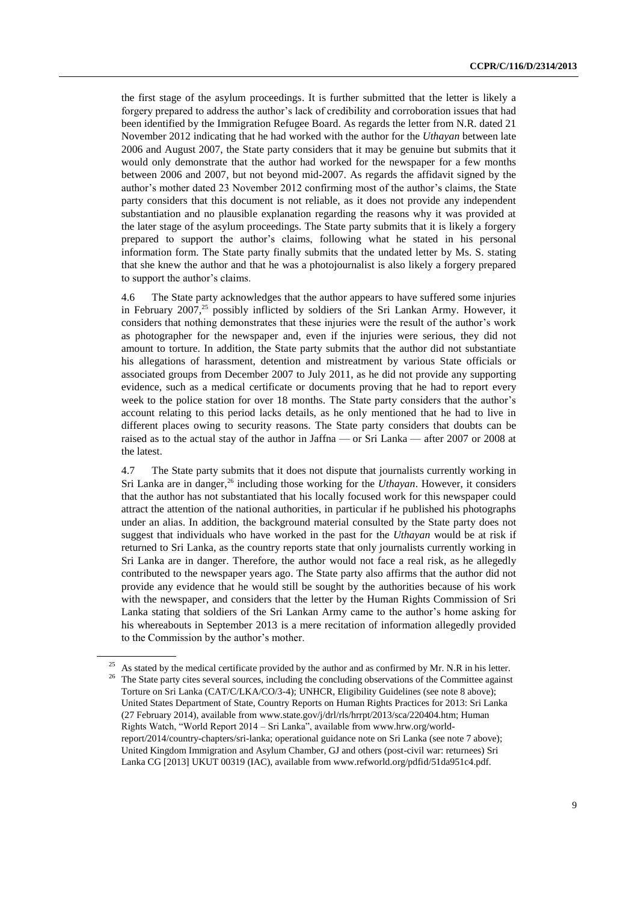the first stage of the asylum proceedings. It is further submitted that the letter is likely a forgery prepared to address the author's lack of credibility and corroboration issues that had been identified by the Immigration Refugee Board. As regards the letter from N.R. dated 21 November 2012 indicating that he had worked with the author for the *Uthayan* between late 2006 and August 2007, the State party considers that it may be genuine but submits that it would only demonstrate that the author had worked for the newspaper for a few months between 2006 and 2007, but not beyond mid-2007. As regards the affidavit signed by the author's mother dated 23 November 2012 confirming most of the author's claims, the State party considers that this document is not reliable, as it does not provide any independent substantiation and no plausible explanation regarding the reasons why it was provided at the later stage of the asylum proceedings. The State party submits that it is likely a forgery prepared to support the author's claims, following what he stated in his personal information form. The State party finally submits that the undated letter by Ms. S. stating that she knew the author and that he was a photojournalist is also likely a forgery prepared to support the author's claims.

4.6 The State party acknowledges that the author appears to have suffered some injuries in February  $2007<sup>25</sup>$  possibly inflicted by soldiers of the Sri Lankan Army. However, it considers that nothing demonstrates that these injuries were the result of the author's work as photographer for the newspaper and, even if the injuries were serious, they did not amount to torture. In addition, the State party submits that the author did not substantiate his allegations of harassment, detention and mistreatment by various State officials or associated groups from December 2007 to July 2011, as he did not provide any supporting evidence, such as a medical certificate or documents proving that he had to report every week to the police station for over 18 months. The State party considers that the author's account relating to this period lacks details, as he only mentioned that he had to live in different places owing to security reasons. The State party considers that doubts can be raised as to the actual stay of the author in Jaffna — or Sri Lanka — after 2007 or 2008 at the latest.

4.7 The State party submits that it does not dispute that journalists currently working in Sri Lanka are in danger, <sup>26</sup> including those working for the *Uthayan*. However, it considers that the author has not substantiated that his locally focused work for this newspaper could attract the attention of the national authorities, in particular if he published his photographs under an alias. In addition, the background material consulted by the State party does not suggest that individuals who have worked in the past for the *Uthayan* would be at risk if returned to Sri Lanka, as the country reports state that only journalists currently working in Sri Lanka are in danger. Therefore, the author would not face a real risk, as he allegedly contributed to the newspaper years ago. The State party also affirms that the author did not provide any evidence that he would still be sought by the authorities because of his work with the newspaper, and considers that the letter by the Human Rights Commission of Sri Lanka stating that soldiers of the Sri Lankan Army came to the author's home asking for his whereabouts in September 2013 is a mere recitation of information allegedly provided to the Commission by the author's mother.

<sup>&</sup>lt;sup>25</sup> As stated by the medical certificate provided by the author and as confirmed by Mr. N.R in his letter. <sup>26</sup> The State party cites several sources, including the concluding observations of the Committee against Torture on Sri Lanka (CAT/C/LKA/CO/3-4); UNHCR, Eligibility Guidelines (see note 8 above); United States Department of State, Country Reports on Human Rights Practices for 2013: Sri Lanka (27 February 2014), available from www.state.gov/j/drl/rls/hrrpt/2013/sca/220404.htm; Human Rights Watch, "World Report 2014 – Sri Lanka", available from [www.hrw.org/world](file:///C:/Users/vivian.lozano/AppData/Local/Temp/notes8EBBE4/www.hrw.org/world-report/2014/country-chapters/sri-lanka)[report/2014/country-chapters/sri-lanka;](file:///C:/Users/vivian.lozano/AppData/Local/Temp/notes8EBBE4/www.hrw.org/world-report/2014/country-chapters/sri-lanka) operational guidance note on Sri Lanka (see note 7 above); United Kingdom Immigration and Asylum Chamber, GJ and others (post-civil war: returnees) Sri Lanka CG [2013] UKUT 00319 (IAC), available from www.refworld.org/pdfid/51da951c4.pdf.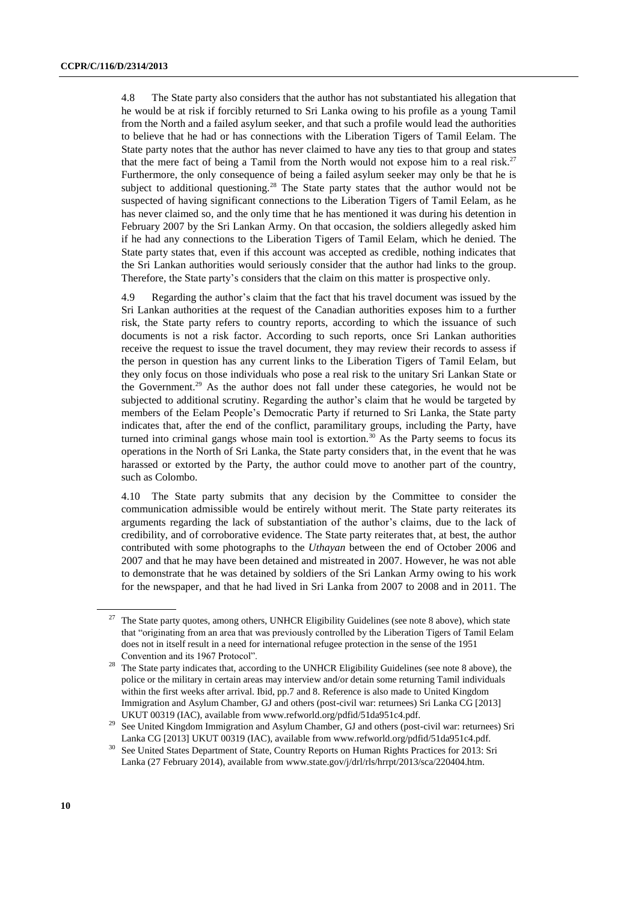4.8 The State party also considers that the author has not substantiated his allegation that he would be at risk if forcibly returned to Sri Lanka owing to his profile as a young Tamil from the North and a failed asylum seeker, and that such a profile would lead the authorities to believe that he had or has connections with the Liberation Tigers of Tamil Eelam. The State party notes that the author has never claimed to have any ties to that group and states that the mere fact of being a Tamil from the North would not expose him to a real risk.<sup>27</sup> Furthermore, the only consequence of being a failed asylum seeker may only be that he is subject to additional questioning.<sup>28</sup> The State party states that the author would not be suspected of having significant connections to the Liberation Tigers of Tamil Eelam, as he has never claimed so, and the only time that he has mentioned it was during his detention in February 2007 by the Sri Lankan Army. On that occasion, the soldiers allegedly asked him if he had any connections to the Liberation Tigers of Tamil Eelam, which he denied. The State party states that, even if this account was accepted as credible, nothing indicates that the Sri Lankan authorities would seriously consider that the author had links to the group. Therefore, the State party's considers that the claim on this matter is prospective only.

4.9 Regarding the author's claim that the fact that his travel document was issued by the Sri Lankan authorities at the request of the Canadian authorities exposes him to a further risk, the State party refers to country reports, according to which the issuance of such documents is not a risk factor. According to such reports, once Sri Lankan authorities receive the request to issue the travel document, they may review their records to assess if the person in question has any current links to the Liberation Tigers of Tamil Eelam, but they only focus on those individuals who pose a real risk to the unitary Sri Lankan State or the Government. <sup>29</sup> As the author does not fall under these categories, he would not be subjected to additional scrutiny. Regarding the author's claim that he would be targeted by members of the Eelam People's Democratic Party if returned to Sri Lanka, the State party indicates that, after the end of the conflict, paramilitary groups, including the Party, have turned into criminal gangs whose main tool is extortion.<sup>30</sup> As the Party seems to focus its operations in the North of Sri Lanka, the State party considers that, in the event that he was harassed or extorted by the Party, the author could move to another part of the country, such as Colombo.

4.10 The State party submits that any decision by the Committee to consider the communication admissible would be entirely without merit. The State party reiterates its arguments regarding the lack of substantiation of the author's claims, due to the lack of credibility, and of corroborative evidence. The State party reiterates that, at best, the author contributed with some photographs to the *Uthayan* between the end of October 2006 and 2007 and that he may have been detained and mistreated in 2007. However, he was not able to demonstrate that he was detained by soldiers of the Sri Lankan Army owing to his work for the newspaper, and that he had lived in Sri Lanka from 2007 to 2008 and in 2011. The

<sup>&</sup>lt;sup>27</sup> The State party quotes, among others, UNHCR Eligibility Guidelines (see note 8 above), which state that "originating from an area that was previously controlled by the Liberation Tigers of Tamil Eelam does not in itself result in a need for international refugee protection in the sense of the 1951 Convention and its 1967 Protocol".

<sup>&</sup>lt;sup>28</sup> The State party indicates that, according to the UNHCR Eligibility Guidelines (see note 8 above), the police or the military in certain areas may interview and/or detain some returning Tamil individuals within the first weeks after arrival. Ibid, pp.7 and 8. Reference is also made to United Kingdom Immigration and Asylum Chamber, GJ and others (post-civil war: returnees) Sri Lanka CG [2013] UKUT 00319 (IAC), available from www.refworld.org/pdfid/51da951c4.pdf.

<sup>&</sup>lt;sup>29</sup> See United Kingdom Immigration and Asylum Chamber, GJ and others (post-civil war: returnees) Sri Lanka CG [2013] UKUT 00319 (IAC), available from www.refworld.org/pdfid/51da951c4.pdf.

<sup>&</sup>lt;sup>30</sup> See United States Department of State, Country Reports on Human Rights Practices for 2013: Sri Lanka (27 February 2014), available from www.state.gov/j/drl/rls/hrrpt/2013/sca/220404.htm.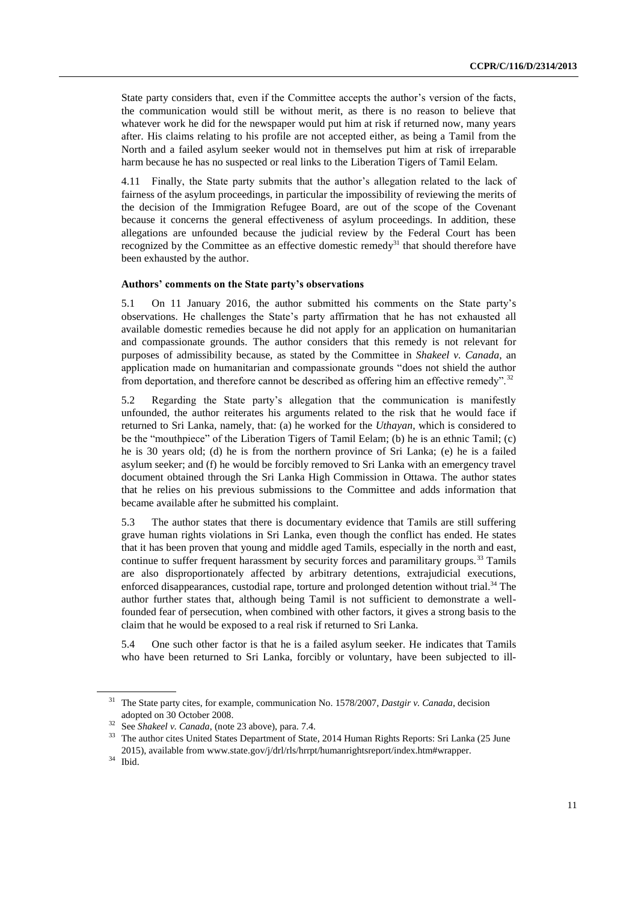State party considers that, even if the Committee accepts the author's version of the facts, the communication would still be without merit, as there is no reason to believe that whatever work he did for the newspaper would put him at risk if returned now, many years after. His claims relating to his profile are not accepted either, as being a Tamil from the North and a failed asylum seeker would not in themselves put him at risk of irreparable harm because he has no suspected or real links to the Liberation Tigers of Tamil Eelam.

4.11 Finally, the State party submits that the author's allegation related to the lack of fairness of the asylum proceedings, in particular the impossibility of reviewing the merits of the decision of the Immigration Refugee Board, are out of the scope of the Covenant because it concerns the general effectiveness of asylum proceedings. In addition, these allegations are unfounded because the judicial review by the Federal Court has been recognized by the Committee as an effective domestic remedy<sup>31</sup> that should therefore have been exhausted by the author.

#### **Authors' comments on the State party's observations**

5.1 On 11 January 2016, the author submitted his comments on the State party's observations. He challenges the State's party affirmation that he has not exhausted all available domestic remedies because he did not apply for an application on humanitarian and compassionate grounds. The author considers that this remedy is not relevant for purposes of admissibility because, as stated by the Committee in *Shakeel v. Canada*, an application made on humanitarian and compassionate grounds "does not shield the author from deportation, and therefore cannot be described as offering him an effective remedy".<sup>32</sup>

5.2 Regarding the State party's allegation that the communication is manifestly unfounded, the author reiterates his arguments related to the risk that he would face if returned to Sri Lanka, namely, that: (a) he worked for the *Uthayan*, which is considered to be the "mouthpiece" of the Liberation Tigers of Tamil Eelam; (b) he is an ethnic Tamil; (c) he is 30 years old; (d) he is from the northern province of Sri Lanka; (e) he is a failed asylum seeker; and (f) he would be forcibly removed to Sri Lanka with an emergency travel document obtained through the Sri Lanka High Commission in Ottawa. The author states that he relies on his previous submissions to the Committee and adds information that became available after he submitted his complaint.

5.3 The author states that there is documentary evidence that Tamils are still suffering grave human rights violations in Sri Lanka, even though the conflict has ended. He states that it has been proven that young and middle aged Tamils, especially in the north and east, continue to suffer frequent harassment by security forces and paramilitary groups.<sup>33</sup> Tamils are also disproportionately affected by arbitrary detentions, extrajudicial executions, enforced disappearances, custodial rape, torture and prolonged detention without trial.<sup>34</sup> The author further states that, although being Tamil is not sufficient to demonstrate a wellfounded fear of persecution, when combined with other factors, it gives a strong basis to the claim that he would be exposed to a real risk if returned to Sri Lanka.

5.4 One such other factor is that he is a failed asylum seeker. He indicates that Tamils who have been returned to Sri Lanka, forcibly or voluntary, have been subjected to ill-

<sup>&</sup>lt;sup>31</sup> The State party cites, for example, communication No. 1578/2007, *Dastgir v. Canada*, decision adopted on 30 October 2008.

<sup>32</sup> See *Shakeel v. Canada*, (note 23 above), para. 7.4.

<sup>33</sup> The author cites United States Department of State, 2014 Human Rights Reports: Sri Lanka (25 June 2015), available from www.state.gov/j/drl/rls/hrrpt/humanrightsreport/index.htm#wrapper.

<sup>34</sup> Ibid.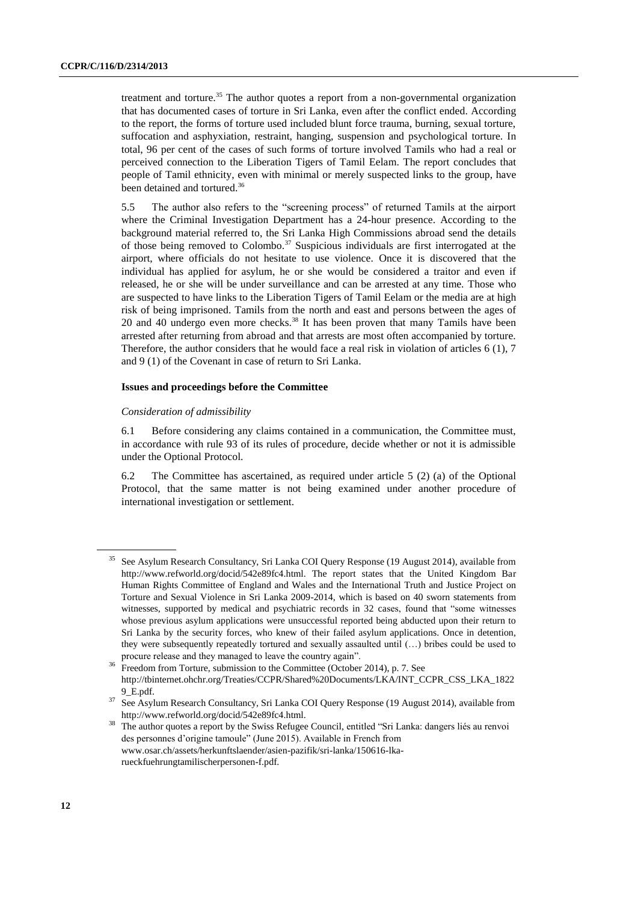treatment and torture.<sup>35</sup> The author quotes a report from a non-governmental organization that has documented cases of torture in Sri Lanka, even after the conflict ended. According to the report, the forms of torture used included blunt force trauma, burning, sexual torture, suffocation and asphyxiation, restraint, hanging, suspension and psychological torture. In total, 96 per cent of the cases of such forms of torture involved Tamils who had a real or perceived connection to the Liberation Tigers of Tamil Eelam. The report concludes that people of Tamil ethnicity, even with minimal or merely suspected links to the group, have been detained and tortured.<sup>36</sup>

5.5 The author also refers to the "screening process" of returned Tamils at the airport where the Criminal Investigation Department has a 24-hour presence. According to the background material referred to, the Sri Lanka High Commissions abroad send the details of those being removed to Colombo.<sup>37</sup> Suspicious individuals are first interrogated at the airport, where officials do not hesitate to use violence. Once it is discovered that the individual has applied for asylum, he or she would be considered a traitor and even if released, he or she will be under surveillance and can be arrested at any time. Those who are suspected to have links to the Liberation Tigers of Tamil Eelam or the media are at high risk of being imprisoned. Tamils from the north and east and persons between the ages of 20 and 40 undergo even more checks.<sup>38</sup> It has been proven that many Tamils have been arrested after returning from abroad and that arrests are most often accompanied by torture. Therefore, the author considers that he would face a real risk in violation of articles 6 (1), 7 and 9 (1) of the Covenant in case of return to Sri Lanka.

#### **Issues and proceedings before the Committee**

#### *Consideration of admissibility*

6.1 Before considering any claims contained in a communication, the Committee must, in accordance with rule 93 of its rules of procedure, decide whether or not it is admissible under the Optional Protocol.

6.2 The Committee has ascertained, as required under article 5 (2) (a) of the Optional Protocol, that the same matter is not being examined under another procedure of international investigation or settlement.

<sup>35</sup> See Asylum Research Consultancy, Sri Lanka COI Query Response (19 August 2014), available from http://www.refworld.org/docid/542e89fc4.html. The report states that the United Kingdom Bar Human Rights Committee of England and Wales and the International Truth and Justice Project on Torture and Sexual Violence in Sri Lanka 2009-2014, which is based on 40 sworn statements from witnesses, supported by medical and psychiatric records in 32 cases, found that "some witnesses whose previous asylum applications were unsuccessful reported being abducted upon their return to Sri Lanka by the security forces, who knew of their failed asylum applications. Once in detention, they were subsequently repeatedly tortured and sexually assaulted until (…) bribes could be used to procure release and they managed to leave the country again".

<sup>36</sup> Freedom from Torture, submission to the Committee (October 2014), p. 7. See http://tbinternet.ohchr.org/Treaties/CCPR/Shared%20Documents/LKA/INT\_CCPR\_CSS\_LKA\_1822 9\_E.pdf.

<sup>&</sup>lt;sup>37</sup> See Asylum Research Consultancy, Sri Lanka COI Query Response (19 August 2014), available from http://www.refworld.org/docid/542e89fc4.html.

<sup>&</sup>lt;sup>38</sup> The author quotes a report by the Swiss Refugee Council, entitled "Sri Lanka: dangers liés au renvoi des personnes d'origine tamoule" (June 2015). Available in French from www.osar.ch/assets/herkunftslaender/asien-pazifik/sri-lanka/150616-lkarueckfuehrungtamilischerpersonen-f.pdf.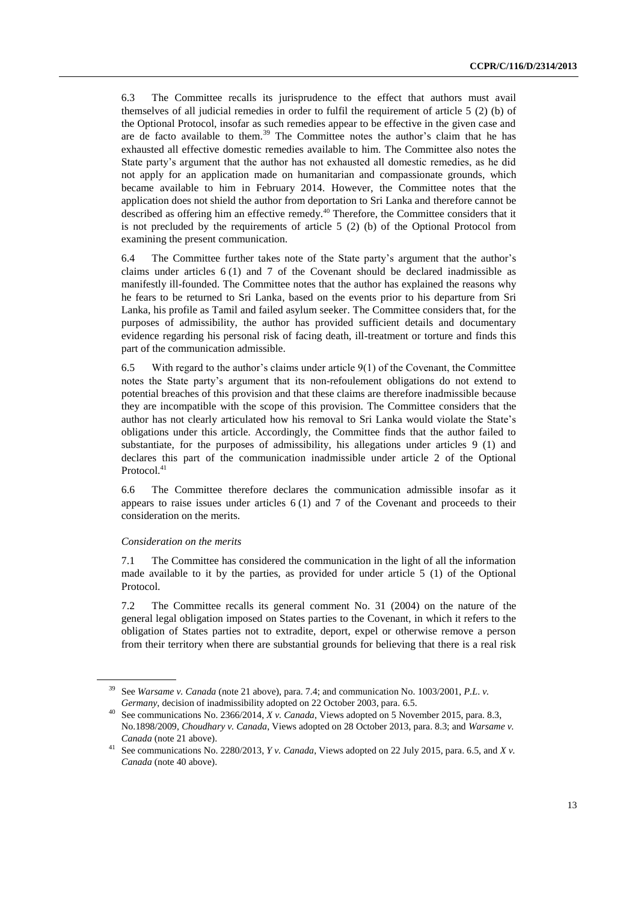6.3 The Committee recalls its jurisprudence to the effect that authors must avail themselves of all judicial remedies in order to fulfil the requirement of article 5 (2) (b) of the Optional Protocol, insofar as such remedies appear to be effective in the given case and are de facto available to them.<sup>39</sup> The Committee notes the author's claim that he has exhausted all effective domestic remedies available to him. The Committee also notes the State party's argument that the author has not exhausted all domestic remedies, as he did not apply for an application made on humanitarian and compassionate grounds, which became available to him in February 2014. However, the Committee notes that the application does not shield the author from deportation to Sri Lanka and therefore cannot be described as offering him an effective remedy.<sup>40</sup> Therefore, the Committee considers that it is not precluded by the requirements of article 5 (2) (b) of the Optional Protocol from examining the present communication.

6.4 The Committee further takes note of the State party's argument that the author's claims under articles  $6(1)$  and  $7$  of the Covenant should be declared inadmissible as manifestly ill-founded. The Committee notes that the author has explained the reasons why he fears to be returned to Sri Lanka, based on the events prior to his departure from Sri Lanka, his profile as Tamil and failed asylum seeker. The Committee considers that, for the purposes of admissibility, the author has provided sufficient details and documentary evidence regarding his personal risk of facing death, ill-treatment or torture and finds this part of the communication admissible.

6.5 With regard to the author's claims under article 9(1) of the Covenant, the Committee notes the State party's argument that its non-refoulement obligations do not extend to potential breaches of this provision and that these claims are therefore inadmissible because they are incompatible with the scope of this provision. The Committee considers that the author has not clearly articulated how his removal to Sri Lanka would violate the State's obligations under this article. Accordingly, the Committee finds that the author failed to substantiate, for the purposes of admissibility, his allegations under articles 9 (1) and declares this part of the communication inadmissible under article 2 of the Optional Protocol.<sup>41</sup>

6.6 The Committee therefore declares the communication admissible insofar as it appears to raise issues under articles  $6(1)$  and 7 of the Covenant and proceeds to their consideration on the merits.

#### *Consideration on the merits*

7.1 The Committee has considered the communication in the light of all the information made available to it by the parties, as provided for under article 5 (1) of the Optional Protocol.

7.2 The Committee recalls its general comment No. 31 (2004) on the nature of the general legal obligation imposed on States parties to the Covenant, in which it refers to the obligation of States parties not to extradite, deport, expel or otherwise remove a person from their territory when there are substantial grounds for believing that there is a real risk

<sup>39</sup> See *Warsame v. Canada* (note 21 above), para. 7.4; and communication No. 1003/2001, *P.L*. *v. Germany*, decision of inadmissibility adopted on 22 October 2003, para. 6.5.

<sup>40</sup> See communications No. 2366/2014, *X v. Canada*, Views adopted on 5 November 2015, para. 8.3, No.1898/2009, *Choudhary v. Canada*, Views adopted on 28 October 2013, para. 8.3; and *Warsame v. Canada* (note 21 above).

<sup>41</sup> See communications No. 2280/2013, *Y v. Canada*, Views adopted on 22 July 2015, para. 6.5, and *X v. Canada* (note 40 above).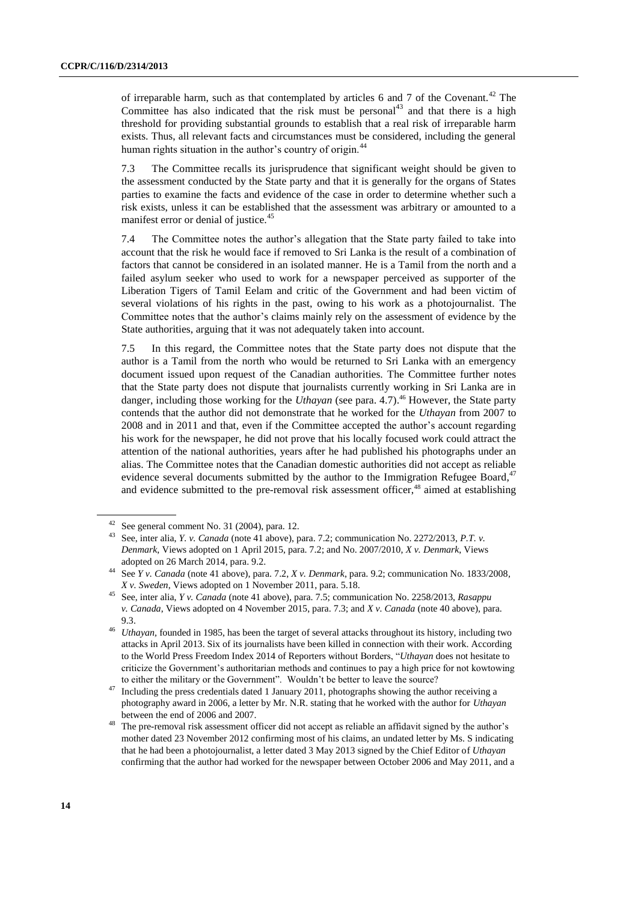of irreparable harm, such as that contemplated by articles 6 and 7 of the Covenant.<sup>42</sup> The Committee has also indicated that the risk must be personal<sup>43</sup> and that there is a high threshold for providing substantial grounds to establish that a real risk of irreparable harm exists. Thus, all relevant facts and circumstances must be considered, including the general human rights situation in the author's country of origin.<sup>44</sup>

7.3 The Committee recalls its jurisprudence that significant weight should be given to the assessment conducted by the State party and that it is generally for the organs of States parties to examine the facts and evidence of the case in order to determine whether such a risk exists, unless it can be established that the assessment was arbitrary or amounted to a manifest error or denial of justice.<sup>45</sup>

7.4 The Committee notes the author's allegation that the State party failed to take into account that the risk he would face if removed to Sri Lanka is the result of a combination of factors that cannot be considered in an isolated manner. He is a Tamil from the north and a failed asylum seeker who used to work for a newspaper perceived as supporter of the Liberation Tigers of Tamil Eelam and critic of the Government and had been victim of several violations of his rights in the past, owing to his work as a photojournalist. The Committee notes that the author's claims mainly rely on the assessment of evidence by the State authorities, arguing that it was not adequately taken into account.

7.5 In this regard, the Committee notes that the State party does not dispute that the author is a Tamil from the north who would be returned to Sri Lanka with an emergency document issued upon request of the Canadian authorities. The Committee further notes that the State party does not dispute that journalists currently working in Sri Lanka are in danger, including those working for the *Uthayan* (see para. 4.7). <sup>46</sup> However, the State party contends that the author did not demonstrate that he worked for the *Uthayan* from 2007 to 2008 and in 2011 and that, even if the Committee accepted the author's account regarding his work for the newspaper, he did not prove that his locally focused work could attract the attention of the national authorities, years after he had published his photographs under an alias. The Committee notes that the Canadian domestic authorities did not accept as reliable evidence several documents submitted by the author to the Immigration Refugee Board,<sup>47</sup> and evidence submitted to the pre-removal risk assessment officer,<sup>48</sup> aimed at establishing

 $42$  See general comment No. 31 (2004), para. 12.

<sup>43</sup> See, inter alia, *Y. v. Canada* (note 41 above), para. 7.2; communication No. 2272/2013, *P.T. v. Denmark*, Views adopted on 1 April 2015, para. 7.2; and No. 2007/2010, *X v. Denmark*, Views adopted on 26 March 2014, para. 9.2.

<sup>44</sup> See *Y v. Canada* (note 41 above), para. 7.2, *X v. Denmark*, para. 9.2; communication No. 1833/2008*, X v. Sweden*, Views adopted on 1 November 2011, para. 5.18.

<sup>45</sup> See, inter alia, *Y v. Canada* (note 41 above), para. 7.5; communication No. 2258/2013, *Rasappu v. Canada*, Views adopted on 4 November 2015, para. 7.3; and *X v. Canada* (note 40 above), para. 9.3.

<sup>46</sup> *Uthayan,* founded in 1985, has been the target of several attacks throughout its history, including two attacks in April 2013. Six of its journalists have been killed in connection with their work. According to the World Press Freedom Index 2014 of Reporters without Borders, "*Uthayan* does not hesitate to criticize the Government's authoritarian methods and continues to pay a high price for not kowtowing to either the military or the Government". Wouldn't be better to leave the source?

Including the press credentials dated 1 January 2011, photographs showing the author receiving a photography award in 2006, a letter by Mr. N.R. stating that he worked with the author for *Uthayan* between the end of 2006 and 2007.

<sup>&</sup>lt;sup>48</sup> The pre-removal risk assessment officer did not accept as reliable an affidavit signed by the author's mother dated 23 November 2012 confirming most of his claims, an undated letter by Ms. S indicating that he had been a photojournalist, a letter dated 3 May 2013 signed by the Chief Editor of *Uthayan* confirming that the author had worked for the newspaper between October 2006 and May 2011, and a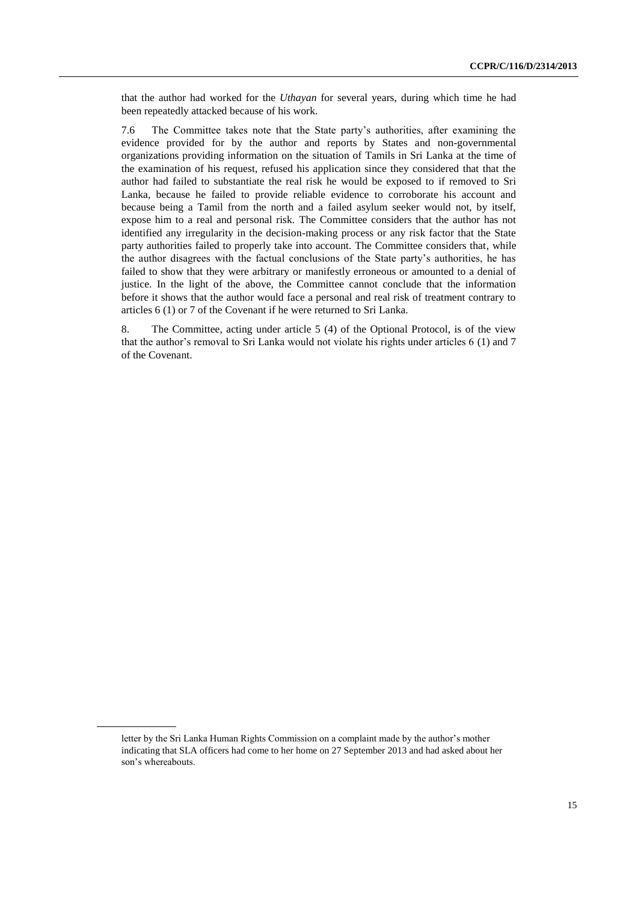that the author had worked for the *Uthayan* for several years, during which time he had been repeatedly attacked because of his work.

7.6 The Committee takes note that the State party's authorities, after examining the evidence provided for by the author and reports by States and non-governmental organizations providing information on the situation of Tamils in Sri Lanka at the time of the examination of his request, refused his application since they considered that that the author had failed to substantiate the real risk he would be exposed to if removed to Sri Lanka, because he failed to provide reliable evidence to corroborate his account and because being a Tamil from the north and a failed asylum seeker would not, by itself, expose him to a real and personal risk. The Committee considers that the author has not identified any irregularity in the decision-making process or any risk factor that the State party authorities failed to properly take into account. The Committee considers that, while the author disagrees with the factual conclusions of the State party's authorities, he has failed to show that they were arbitrary or manifestly erroneous or amounted to a denial of justice. In the light of the above, the Committee cannot conclude that the information before it shows that the author would face a personal and real risk of treatment contrary to articles 6 (1) or 7 of the Covenant if he were returned to Sri Lanka.

8. The Committee, acting under article 5 (4) of the Optional Protocol, is of the view that the author's removal to Sri Lanka would not violate his rights under articles 6 (1) and 7 of the Covenant.

letter by the Sri Lanka Human Rights Commission on a complaint made by the author's mother indicating that SLA officers had come to her home on 27 September 2013 and had asked about her son's whereabouts.